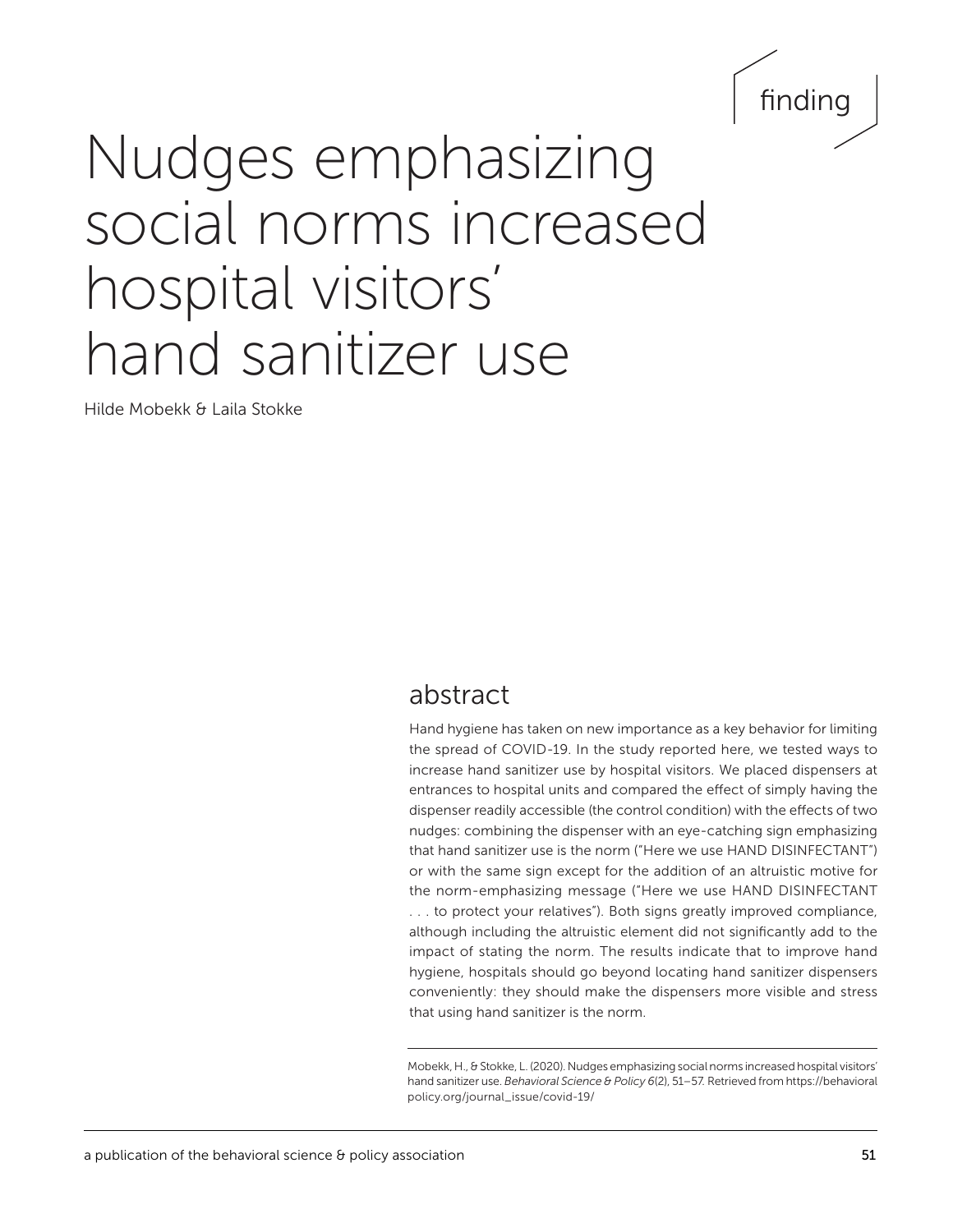

# Nudges emphasizing social norms increased hospital visitors' hand sanitizer use

Hilde Mobekk & Laila Stokke

# abstract

Hand hygiene has taken on new importance as a key behavior for limiting the spread of COVID-19. In the study reported here, we tested ways to increase hand sanitizer use by hospital visitors. We placed dispensers at entrances to hospital units and compared the effect of simply having the dispenser readily accessible (the control condition) with the effects of two nudges: combining the dispenser with an eye-catching sign emphasizing that hand sanitizer use is the norm ("Here we use HAND DISINFECTANT") or with the same sign except for the addition of an altruistic motive for the norm-emphasizing message ("Here we use HAND DISINFECTANT . . . to protect your relatives"). Both signs greatly improved compliance, although including the altruistic element did not significantly add to the impact of stating the norm. The results indicate that to improve hand hygiene, hospitals should go beyond locating hand sanitizer dispensers conveniently: they should make the dispensers more visible and stress that using hand sanitizer is the norm.

Mobekk, H., & Stokke, L. (2020). Nudges emphasizing social norms increased hospital visitors' hand sanitizer use. *Behavioral Science & Policy 6*(2), 51–57*.* Retrieved from [https://behavioral](https://behavioralpolicy.org/journal_issue/covid-19/) [policy.org/journal\\_issue/covid-19/](https://behavioralpolicy.org/journal_issue/covid-19/)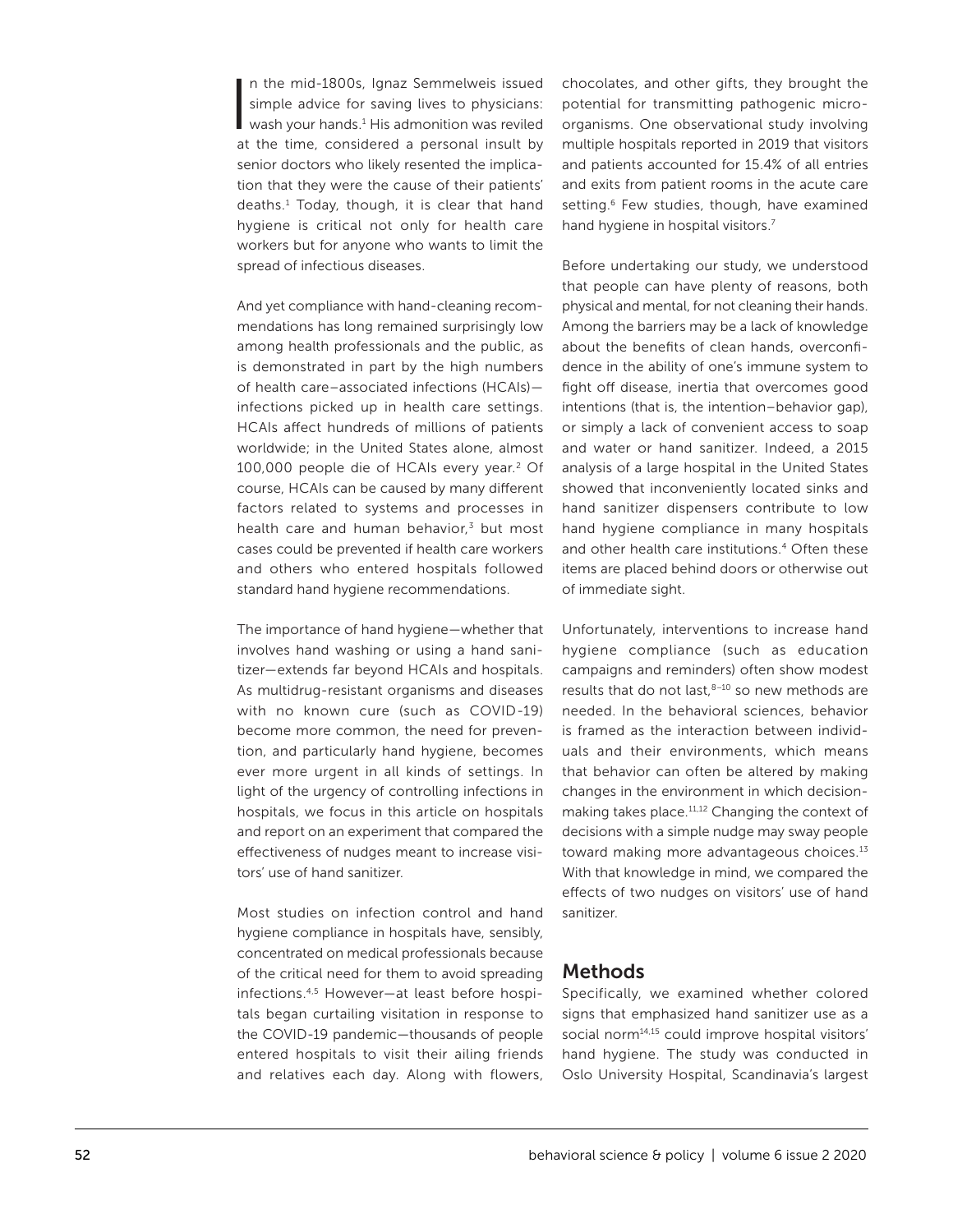I n the mid-1800s, Ignaz Semmelweis issued simple advice for saving lives to physicians: wash your hands.<sup>1</sup> His admonition was reviled at the time, considered a personal insult by senior doctors who likely resented the implication that they were the cause of their patients' deaths.1 Today, though, it is clear that hand hygiene is critical not only for health care workers but for anyone who wants to limit the spread of infectious diseases.

And yet compliance with hand-cleaning recommendations has long remained surprisingly low among health professionals and the public, as is demonstrated in part by the high numbers of health care–associated infections (HCAIs) infections picked up in health care settings. HCAIs affect hundreds of millions of patients worldwide; in the United States alone, almost 100,000 people die of HCAIs every year.2 Of course, HCAIs can be caused by many different factors related to systems and processes in health care and human behavior, $3$  but most cases could be prevented if health care workers and others who entered hospitals followed standard hand hygiene recommendations.

The importance of hand hygiene—whether that involves hand washing or using a hand sanitizer—extends far beyond HCAIs and hospitals. As multidrug-resistant organisms and diseases with no known cure (such as COVID-19) become more common, the need for prevention, and particularly hand hygiene, becomes ever more urgent in all kinds of settings. In light of the urgency of controlling infections in hospitals, we focus in this article on hospitals and report on an experiment that compared the effectiveness of nudges meant to increase visitors' use of hand sanitizer.

Most studies on infection control and hand hygiene compliance in hospitals have, sensibly, concentrated on medical professionals because of the critical need for them to avoid spreading infections.4,5 However—at least before hospitals began curtailing visitation in response to the COVID-19 pandemic—thousands of people entered hospitals to visit their ailing friends and relatives each day. Along with flowers,

chocolates, and other gifts, they brought the potential for transmitting pathogenic microorganisms. One observational study involving multiple hospitals reported in 2019 that visitors and patients accounted for 15.4% of all entries and exits from patient rooms in the acute care setting.<sup>6</sup> Few studies, though, have examined hand hygiene in hospital visitors.<sup>7</sup>

Before undertaking our study, we understood that people can have plenty of reasons, both physical and mental, for not cleaning their hands. Among the barriers may be a lack of knowledge about the benefits of clean hands, overconfidence in the ability of one's immune system to fight off disease, inertia that overcomes good intentions (that is, the intention–behavior gap), or simply a lack of convenient access to soap and water or hand sanitizer. Indeed, a 2015 analysis of a large hospital in the United States showed that inconveniently located sinks and hand sanitizer dispensers contribute to low hand hygiene compliance in many hospitals and other health care institutions.<sup>4</sup> Often these items are placed behind doors or otherwise out of immediate sight.

Unfortunately, interventions to increase hand hygiene compliance (such as education campaigns and reminders) often show modest results that do not last, $8-10$  so new methods are needed. In the behavioral sciences, behavior is framed as the interaction between individuals and their environments, which means that behavior can often be altered by making changes in the environment in which decisionmaking takes place.<sup>11,12</sup> Changing the context of decisions with a simple nudge may sway people toward making more advantageous choices.<sup>13</sup> With that knowledge in mind, we compared the effects of two nudges on visitors' use of hand sanitizer.

#### Methods

Specifically, we examined whether colored signs that emphasized hand sanitizer use as a social norm<sup>14,15</sup> could improve hospital visitors' hand hygiene. The study was conducted in Oslo University Hospital, Scandinavia's largest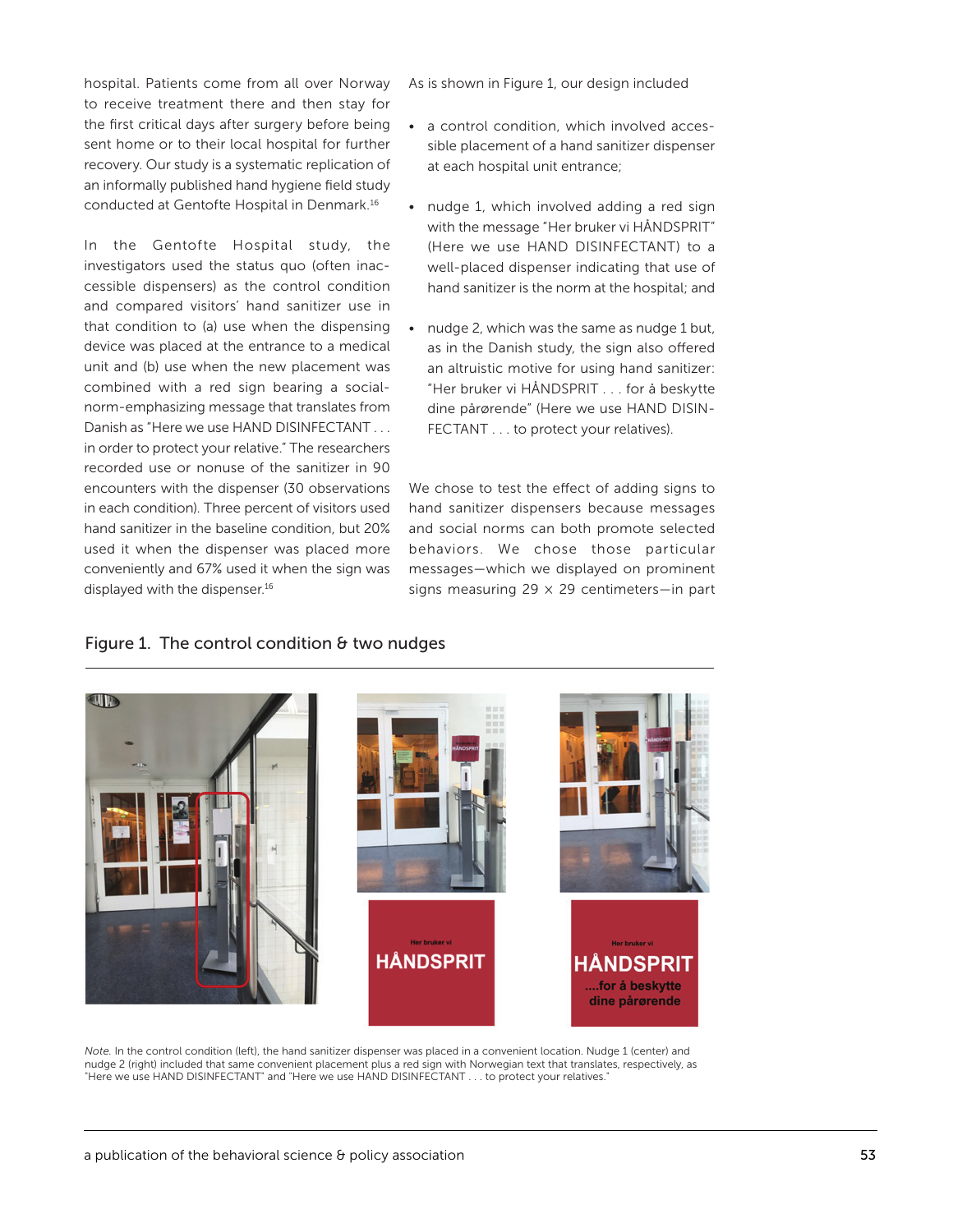hospital. Patients come from all over Norway to receive treatment there and then stay for the first critical days after surgery before being sent home or to their local hospital for further recovery. Our study is a systematic replication of an informally published hand hygiene field study conducted at Gentofte Hospital in Denmark.16

In the Gentofte Hospital study, the investigators used the status quo (often inaccessible dispensers) as the control condition and compared visitors' hand sanitizer use in that condition to (a) use when the dispensing device was placed at the entrance to a medical unit and (b) use when the new placement was combined with a red sign bearing a socialnorm-emphasizing message that translates from Danish as "Here we use HAND DISINFECTANT . . . in order to protect your relative." The researchers recorded use or nonuse of the sanitizer in 90 encounters with the dispenser (30 observations in each condition). Three percent of visitors used hand sanitizer in the baseline condition, but 20% used it when the dispenser was placed more conveniently and 67% used it when the sign was displayed with the dispenser.<sup>16</sup>

As is shown in Figure 1, our design included

- a control condition, which involved accessible placement of a hand sanitizer dispenser at each hospital unit entrance;
- nudge 1, which involved adding a red sign with the message "Her bruker vi HÅNDSPRIT" (Here we use HAND DISINFECTANT) to a well-placed dispenser indicating that use of hand sanitizer is the norm at the hospital; and
- nudge 2, which was the same as nudge 1 but, as in the Danish study, the sign also offered an altruistic motive for using hand sanitizer: "Her bruker vi HÅNDSPRIT . . . for å beskytte dine pårørende" (Here we use HAND DISIN-FECTANT . . . to protect your relatives).

We chose to test the effect of adding signs to hand sanitizer dispensers because messages and social norms can both promote selected behaviors. We chose those particular messages—which we displayed on prominent signs measuring  $29 \times 29$  centimeters-in part



#### Figure 1. The control condition & two nudges

*Note.* In the control condition (left), the hand sanitizer dispenser was placed in a convenient location. Nudge 1 (center) and nudge 2 (right) included that same convenient placement plus a red sign with Norwegian text that translates, respectively, as "Here we use HAND DISINFECTANT" and "Here we use HAND DISINFECTANT . . . to protect your relatives."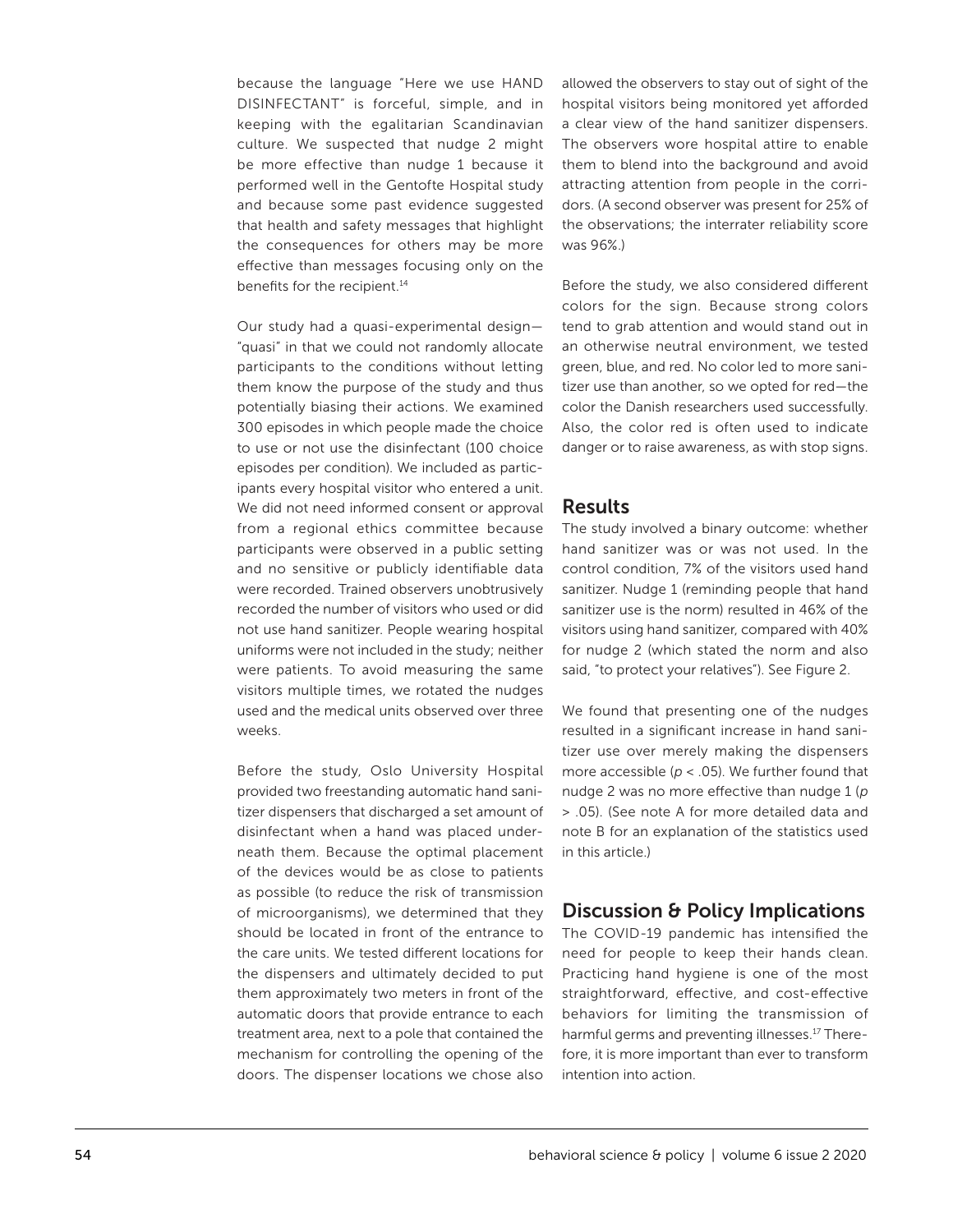because the language "Here we use HAND DISINFECTANT" is forceful, simple, and in keeping with the egalitarian Scandinavian culture. We suspected that nudge 2 might be more effective than nudge 1 because it performed well in the Gentofte Hospital study and because some past evidence suggested that health and safety messages that highlight the consequences for others may be more effective than messages focusing only on the benefits for the recipient.<sup>14</sup>

Our study had a quasi-experimental design— "quasi" in that we could not randomly allocate participants to the conditions without letting them know the purpose of the study and thus potentially biasing their actions. We examined 300 episodes in which people made the choice to use or not use the disinfectant (100 choice episodes per condition). We included as participants every hospital visitor who entered a unit. We did not need informed consent or approval from a regional ethics committee because participants were observed in a public setting and no sensitive or publicly identifiable data were recorded. Trained observers unobtrusively recorded the number of visitors who used or did not use hand sanitizer. People wearing hospital uniforms were not included in the study; neither were patients. To avoid measuring the same visitors multiple times, we rotated the nudges used and the medical units observed over three weeks.

Before the study, Oslo University Hospital provided two freestanding automatic hand sanitizer dispensers that discharged a set amount of disinfectant when a hand was placed underneath them. Because the optimal placement of the devices would be as close to patients as possible (to reduce the risk of transmission of microorganisms), we determined that they should be located in front of the entrance to the care units. We tested different locations for the dispensers and ultimately decided to put them approximately two meters in front of the automatic doors that provide entrance to each treatment area, next to a pole that contained the mechanism for controlling the opening of the doors. The dispenser locations we chose also

allowed the observers to stay out of sight of the hospital visitors being monitored yet afforded a clear view of the hand sanitizer dispensers. The observers wore hospital attire to enable them to blend into the background and avoid attracting attention from people in the corridors. (A second observer was present for 25% of the observations; the interrater reliability score was 96%.)

Before the study, we also considered different colors for the sign. Because strong colors tend to grab attention and would stand out in an otherwise neutral environment, we tested green, blue, and red. No color led to more sanitizer use than another, so we opted for red—the color the Danish researchers used successfully. Also, the color red is often used to indicate danger or to raise awareness, as with stop signs.

# **Results**

The study involved a binary outcome: whether hand sanitizer was or was not used. In the control condition, 7% of the visitors used hand sanitizer. Nudge 1 (reminding people that hand sanitizer use is the norm) resulted in 46% of the visitors using hand sanitizer, compared with 40% for nudge 2 (which stated the norm and also said, "to protect your relatives"). See Figure 2.

We found that presenting one of the nudges resulted in a significant increase in hand sanitizer use over merely making the dispensers more accessible (*p* < .05). We further found that nudge 2 was no more effective than nudge 1 (*p* > .05). (See note A for more detailed data and note B for an explanation of the statistics used in this article.)

### Discussion & Policy Implications

The COVID-19 pandemic has intensified the need for people to keep their hands clean. Practicing hand hygiene is one of the most straightforward, effective, and cost-effective behaviors for limiting the transmission of harmful germs and preventing illnesses.<sup>17</sup> Therefore, it is more important than ever to transform intention into action.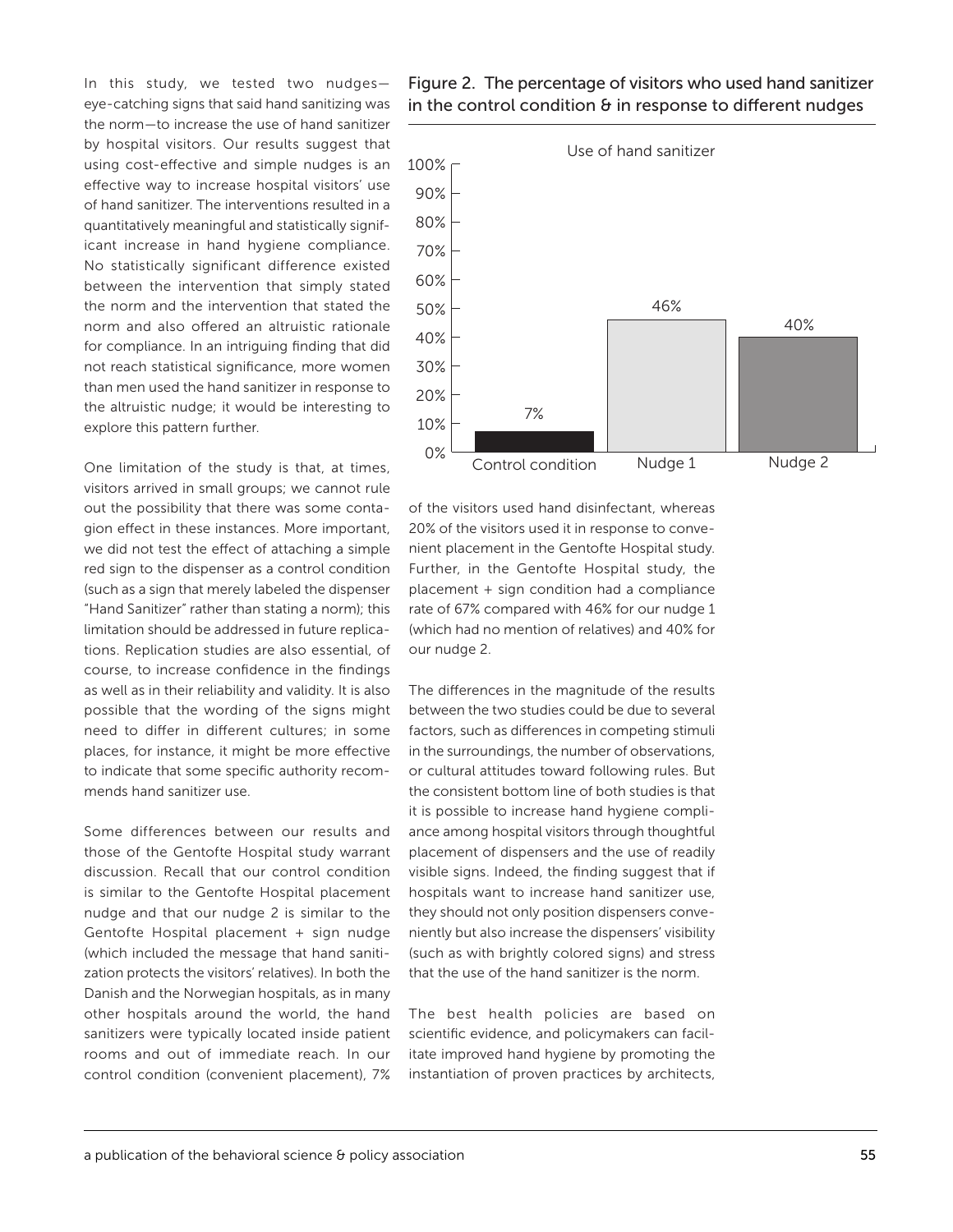In this study, we tested two nudges eye-catching signs that said hand sanitizing was the norm—to increase the use of hand sanitizer by hospital visitors. Our results suggest that using cost-effective and simple nudges is an effective way to increase hospital visitors' use of hand sanitizer. The interventions resulted in a quantitatively meaningful and statistically significant increase in hand hygiene compliance. No statistically significant difference existed between the intervention that simply stated the norm and the intervention that stated the norm and also offered an altruistic rationale for compliance. In an intriguing finding that did not reach statistical significance, more women than men used the hand sanitizer in response to the altruistic nudge; it would be interesting to explore this pattern further.

One limitation of the study is that, at times, visitors arrived in small groups; we cannot rule out the possibility that there was some contagion effect in these instances. More important, we did not test the effect of attaching a simple red sign to the dispenser as a control condition (such as a sign that merely labeled the dispenser "Hand Sanitizer" rather than stating a norm); this limitation should be addressed in future replications. Replication studies are also essential, of course, to increase confidence in the findings as well as in their reliability and validity. It is also possible that the wording of the signs might need to differ in different cultures; in some places, for instance, it might be more effective to indicate that some specific authority recommends hand sanitizer use.

Some differences between our results and those of the Gentofte Hospital study warrant discussion. Recall that our control condition is similar to the Gentofte Hospital placement nudge and that our nudge 2 is similar to the Gentofte Hospital placement + sign nudge (which included the message that hand sanitization protects the visitors' relatives). In both the Danish and the Norwegian hospitals, as in many other hospitals around the world, the hand sanitizers were typically located inside patient rooms and out of immediate reach. In our control condition (convenient placement), 7% Figure 2. The percentage of visitors who used hand sanitizer in the control condition  $\theta$  in response to different nudges



of the visitors used hand disinfectant, whereas 20% of the visitors used it in response to convenient placement in the Gentofte Hospital study. Further, in the Gentofte Hospital study, the placement + sign condition had a compliance rate of 67% compared with 46% for our nudge 1 (which had no mention of relatives) and 40% for our nudge 2.

The differences in the magnitude of the results between the two studies could be due to several factors, such as differences in competing stimuli in the surroundings, the number of observations, or cultural attitudes toward following rules. But the consistent bottom line of both studies is that it is possible to increase hand hygiene compliance among hospital visitors through thoughtful placement of dispensers and the use of readily visible signs. Indeed, the finding suggest that if hospitals want to increase hand sanitizer use, they should not only position dispensers conveniently but also increase the dispensers' visibility (such as with brightly colored signs) and stress that the use of the hand sanitizer is the norm.

The best health policies are based on scientific evidence, and policymakers can facilitate improved hand hygiene by promoting the instantiation of proven practices by architects,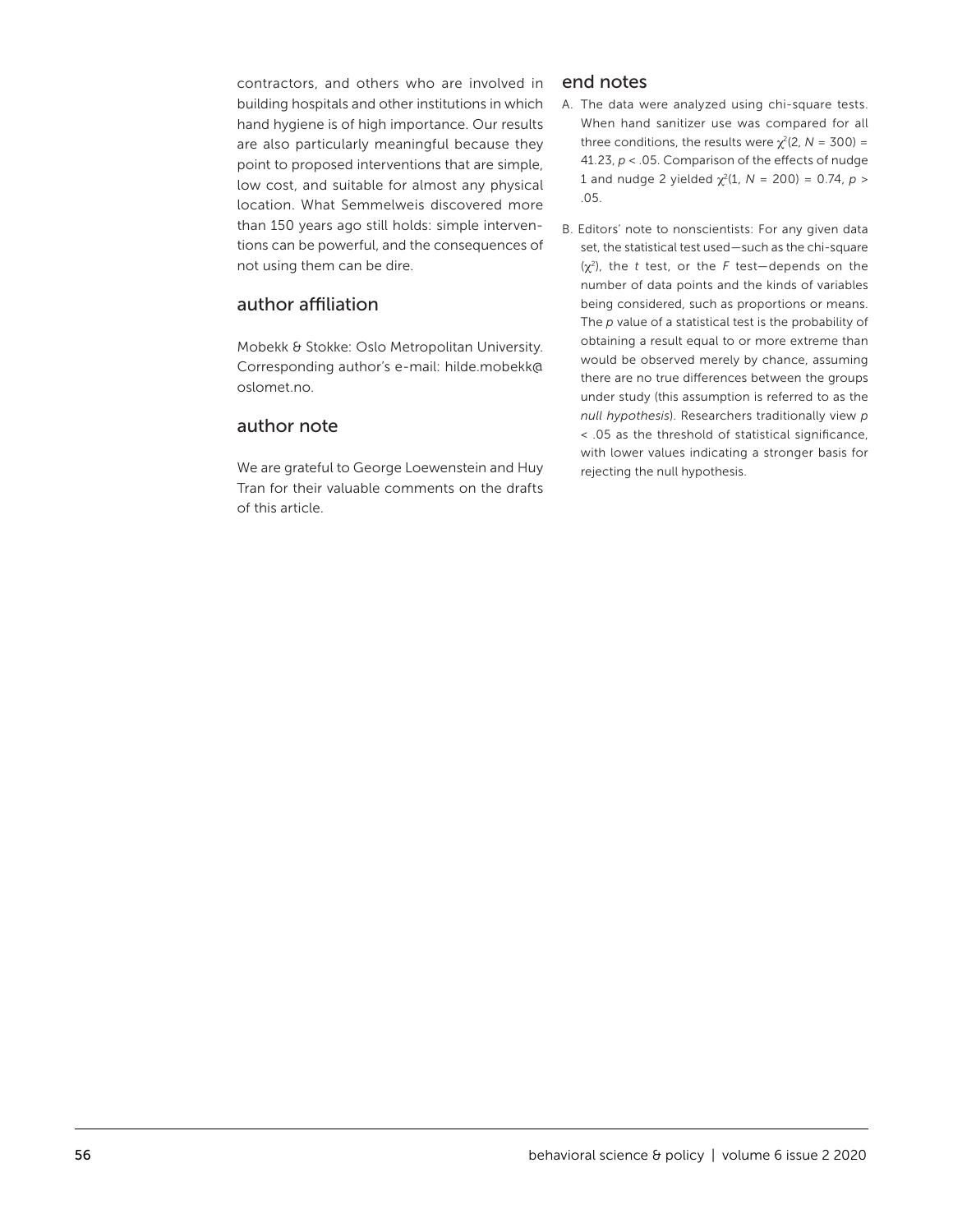contractors, and others who are involved in building hospitals and other institutions in which hand hygiene is of high importance. Our results are also particularly meaningful because they point to proposed interventions that are simple, low cost, and suitable for almost any physical location. What Semmelweis discovered more than 150 years ago still holds: simple interventions can be powerful, and the consequences of not using them can be dire.

#### author affiliation

Mobekk & Stokke: Oslo Metropolitan University. Corresponding author's e-mail: hilde.mobekk@ oslomet.no.

## author note

We are grateful to George Loewenstein and Huy Tran for their valuable comments on the drafts of this article.

#### end notes

- A. The data were analyzed using chi-square tests. When hand sanitizer use was compared for all three conditions, the results were  $\chi^2$ (2, *N* = 300) = 41.23, *p* < .05. Comparison of the effects of nudge 1 and nudge 2 yielded  $\chi^2(1, N = 200) = 0.74$ ,  $p >$ .05.
- B. Editors' note to nonscientists: For any given data set, the statistical test used—such as the chi-square (χ2), the *t* test, or the *F* test—depends on the number of data points and the kinds of variables being considered, such as proportions or means. The *p* value of a statistical test is the probability of obtaining a result equal to or more extreme than would be observed merely by chance, assuming there are no true differences between the groups under study (this assumption is referred to as the *null hypothesis*). Researchers traditionally view *p* < .05 as the threshold of statistical significance, with lower values indicating a stronger basis for rejecting the null hypothesis.